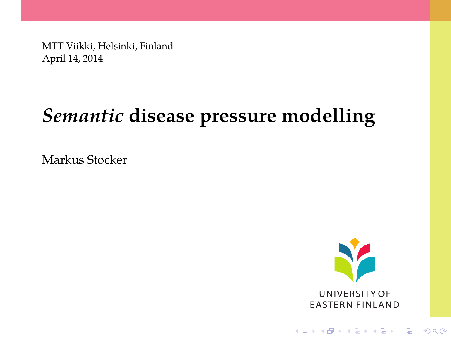MTT Viikki, Helsinki, Finland April 14, 2014

# *Semantic* **disease pressure modelling**

Markus Stocker



<span id="page-0-0"></span>K ロ ▶ K @ ▶ K 할 > K 할 > 1 할 > 1 이익어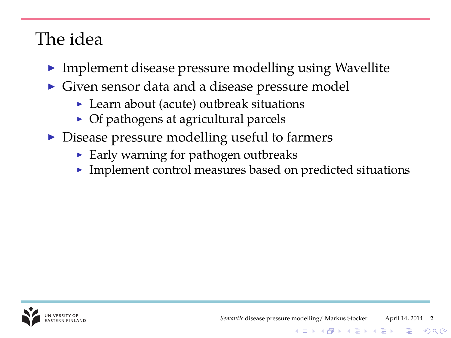## The idea

- $\blacktriangleright$  Implement disease pressure modelling using Wavellite
- Given sensor data and a disease pressure model
	- $\blacktriangleright$  Learn about (acute) outbreak situations
	- $\triangleright$  Of pathogens at agricultural parcels
- $\triangleright$  Disease pressure modelling useful to farmers
	- $\blacktriangleright$  Early warning for pathogen outbreaks
	- $\blacktriangleright$  Implement control measures based on predicted situations

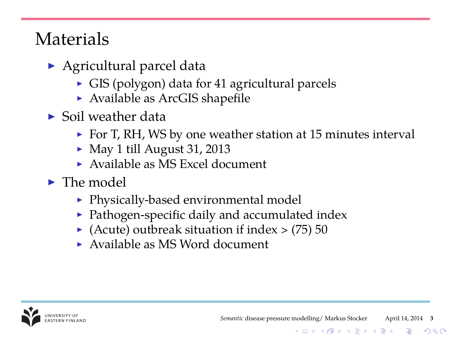## **Materials**

- $\triangleright$  Agricultural parcel data
	- $\triangleright$  GIS (polygon) data for 41 agricultural parcels
	- $\triangleright$  Available as ArcGIS shapefile
- $\blacktriangleright$  Soil weather data
	- $\triangleright$  For T, RH, WS by one weather station at 15 minutes interval
	- $\blacktriangleright$  May 1 till August 31, 2013
	- $\triangleright$  Available as MS Excel document
- $\blacktriangleright$  The model
	- $\blacktriangleright$  Physically-based environmental model
	- $\blacktriangleright$  Pathogen-specific daily and accumulated index
	- $\blacktriangleright$  (Acute) outbreak situation if index  $>$  (75) 50
	- $\triangleright$  Available as MS Word document



**KOD KAR KED KED E LOQO**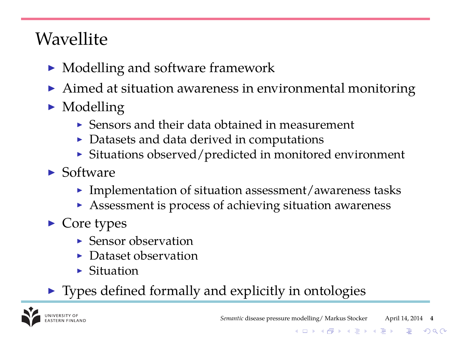## **Wavellite**

- $\blacktriangleright$  Modelling and software framework
- $\blacktriangleright$  Aimed at situation awareness in environmental monitoring
- $\blacktriangleright$  Modelling
	- $\triangleright$  Sensors and their data obtained in measurement
	- $\triangleright$  Datasets and data derived in computations
	- $\triangleright$  Situations observed/predicted in monitored environment
- $\blacktriangleright$  Software
	- $\blacktriangleright$  Implementation of situation assessment/awareness tasks
	- $\blacktriangleright$  Assessment is process of achieving situation awareness
- $\blacktriangleright$  Core types
	- $\blacktriangleright$  Sensor observation
	- $\blacktriangleright$  Dataset observation
	- $\blacktriangleright$  Situation
- $\blacktriangleright$  Types defined formally and explicitly in ontologies



**KOD KAR KED KED E LOQO**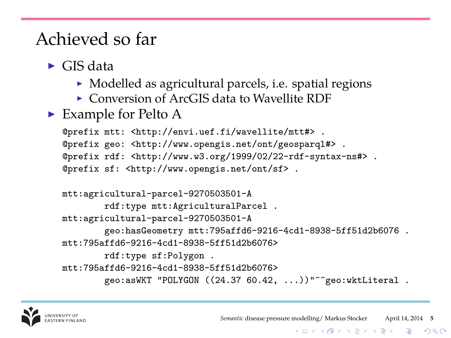- $\blacktriangleright$  GIS data
	- $\triangleright$  Modelled as agricultural parcels, i.e. spatial regions
	- $\triangleright$  Conversion of ArcGIS data to Wavellite RDF
- $\blacktriangleright$  Example for Pelto A

```
@prefix mtt: <http://envi.uef.fi/wavellite/mtt#> .
@prefix geo: <http://www.opengis.net/ont/geosparql#> .
@prefix rdf: <http://www.w3.org/1999/02/22-rdf-syntax-ns#> .
@prefix sf: <http://www.opengis.net/ont/sf> .
```

```
mtt:agricultural-parcel-9270503501-A
        rdf:type mtt:AgriculturalParcel .
mtt:agricultural-parcel-9270503501-A
        geo:hasGeometry mtt:795affd6-9216-4cd1-8938-5ff51d2b6076 .
mtt:795affd6-9216-4cd1-8938-5ff51d2b6076>
        rdf:type sf:Polygon .
mtt:795affd6-9216-4cd1-8938-5ff51d2b6076>
        geo:asWKT "POLYGON ((24.37 60.42, ...))"^^geo:wktLiteral .
```


K ロ ▶ K @ ▶ K 할 ▶ K 할 ▶ (할 수 있다)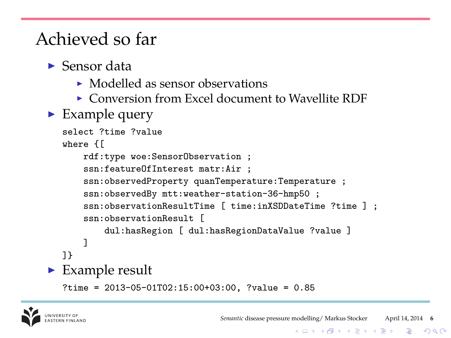- $\blacktriangleright$  Sensor data
	- $\triangleright$  Modelled as sensor observations
	- $\triangleright$  Conversion from Excel document to Wavellite RDF
- $\blacktriangleright$  Example query

```
select ?time ?value
  where {[
      rdf:type woe:SensorObservation ;
       ssn:featureOfInterest matr:Air ;
       ssn:observedProperty quanTemperature:Temperature ;
       ssn:observedBy mtt:weather-station-36-hmp50 ;
       ssn:observationResultTime [ time:inXSDDateTime ?time ] ;
       ssn:observationResult [
           dul:hasRegion [ dul:hasRegionDataValue ?value ]
       ]
  ]}
\blacktriangleright Example result
  ?time = 2013-05-01T02:15:00+03:00, ?value = 0.85
```


K ロ ▶ K @ ▶ K 할 ▶ K 할 ▶ (할 수 있다)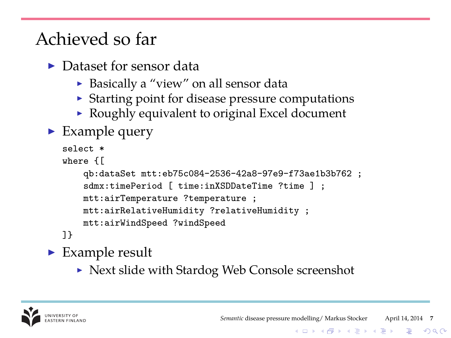- $\blacktriangleright$  Dataset for sensor data
	- $\triangleright$  Basically a "view" on all sensor data
	- $\triangleright$  Starting point for disease pressure computations
	- $\triangleright$  Roughly equivalent to original Excel document
- $\blacktriangleright$  Example query

```
select *
where {[
   qb:dataSet mtt:eb75c084-2536-42a8-97e9-f73ae1b3b762 ;
    sdmx:timePeriod [ time:inXSDDateTime ?time ] ;
   mtt:airTemperature ?temperature ;
   mtt:airRelativeHumidity ?relativeHumidity ;
   mtt:airWindSpeed ?windSpeed
]}
```
 $\blacktriangleright$  Example result

 $\triangleright$  Next slide with Stardog Web Console screenshot



**KOD KAR KED KED E LOQO**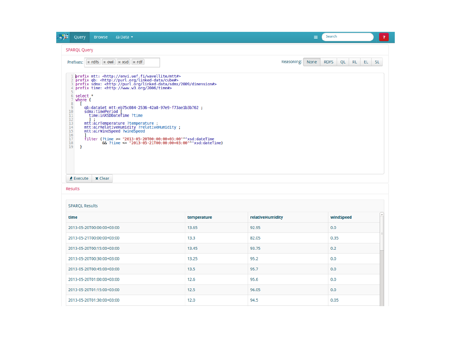| - 52<br>Query<br><b>Browse</b>                                                                                                                                             | <b>△</b> Data ▼                                                                                                                                                                                                                                                                                                                                                                                                                                                                                                                                                                                                                          |             | Ξ                  | Search                        | $\mathbf{r}$ |
|----------------------------------------------------------------------------------------------------------------------------------------------------------------------------|------------------------------------------------------------------------------------------------------------------------------------------------------------------------------------------------------------------------------------------------------------------------------------------------------------------------------------------------------------------------------------------------------------------------------------------------------------------------------------------------------------------------------------------------------------------------------------------------------------------------------------------|-------------|--------------------|-------------------------------|--------------|
| <b>SPARQL Query</b>                                                                                                                                                        |                                                                                                                                                                                                                                                                                                                                                                                                                                                                                                                                                                                                                                          |             |                    |                               |              |
| Prefixes: $\times$ rdfs $\times$ owl $\times$ xsd $\times$ rdf                                                                                                             |                                                                                                                                                                                                                                                                                                                                                                                                                                                                                                                                                                                                                                          |             | Reasoning:<br>None | <b>RDFS</b><br>QL<br>RL<br>EL | SL.          |
| ı<br>$\overline{2}$<br>3<br>4<br>6 select *<br>7 where {<br>8<br>$\mathbf{Q}$<br>10<br>sdmx:timePeriod  <br>11<br>12<br>1 :<br>13<br>14<br>15<br>16<br>17<br>18<br>19<br>٦ | prefix mtt: <http: envi.uef.fi="" mtt#="" wavellite=""><br/>prefix qb: <http: cube#="" linked-data="" purl.org=""><br/>prefix sdmx: <http: 2009="" dimension#="" linked-data="" purl.org="" sdmx=""><br/>prefix time: <http: 2006="" time#="" www.w3.org=""><br/>qb:dataSet mtt:eb75c084-2536-42a8-97e9-f73ae1b3b762;<br/>time:inXSDDateTime ?time<br/>mtt:airTemperature ?temperature ;<br/>mtt:airRelativeHumidity ?relativeHumidity ;<br/>mtt:airWindSpeed ?windSpeed<br/>filter (?time &gt;= "2013-05-20T00:00:00+03:00"^^xsd:dateTime<br/>66 ?time &lt;= "2013-05-21T00:00:00+03:00"^^xsd:dateTime)</http:></http:></http:></http:> |             |                    |                               |              |
| <b>x</b> Clear<br>$\triangle$ Execute                                                                                                                                      |                                                                                                                                                                                                                                                                                                                                                                                                                                                                                                                                                                                                                                          |             |                    |                               |              |
| <b>Results</b><br><b>SPAROL Results</b>                                                                                                                                    |                                                                                                                                                                                                                                                                                                                                                                                                                                                                                                                                                                                                                                          |             |                    |                               |              |
| time                                                                                                                                                                       |                                                                                                                                                                                                                                                                                                                                                                                                                                                                                                                                                                                                                                          | temperature | relativeHumidity   | windSpeed                     |              |
| 2013-05-20T00:00:00+03:00                                                                                                                                                  |                                                                                                                                                                                                                                                                                                                                                                                                                                                                                                                                                                                                                                          | 13.65       | 92.95              | 0.0                           |              |
|                                                                                                                                                                            |                                                                                                                                                                                                                                                                                                                                                                                                                                                                                                                                                                                                                                          | 13.3        | 82.05              | 0.35                          |              |
|                                                                                                                                                                            |                                                                                                                                                                                                                                                                                                                                                                                                                                                                                                                                                                                                                                          | 13.45       | 93.75              | 0.2                           |              |
|                                                                                                                                                                            |                                                                                                                                                                                                                                                                                                                                                                                                                                                                                                                                                                                                                                          | 13.25       | 95.2               | 0.0                           |              |
| 2013-05-21T00:00:00+03:00<br>2013-05-20T00:15:00+03:00<br>2013-05-20T00:30:00+03:00<br>2013-05-20T00:45:00+03:00                                                           |                                                                                                                                                                                                                                                                                                                                                                                                                                                                                                                                                                                                                                          | 13.5        | 95.7               | 0.0                           |              |
| 2013-05-20T01:00:00+03:00                                                                                                                                                  |                                                                                                                                                                                                                                                                                                                                                                                                                                                                                                                                                                                                                                          | 12.6        | 95.6               | 0.0                           |              |
| 2013-05-20T01:15:00+03:00                                                                                                                                                  |                                                                                                                                                                                                                                                                                                                                                                                                                                                                                                                                                                                                                                          | 12.5        | 96.05              | 0.0                           |              |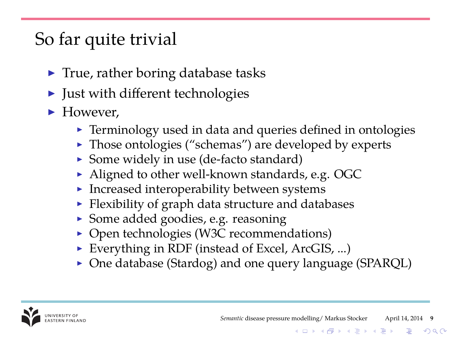## So far quite trivial

- $\blacktriangleright$  True, rather boring database tasks
- $\blacktriangleright$  Just with different technologies
- $\blacktriangleright$  However.
	- $\blacktriangleright$  Terminology used in data and queries defined in ontologies
	- $\blacktriangleright$  Those ontologies ("schemas") are developed by experts
	- $\triangleright$  Some widely in use (de-facto standard)
	- $\blacktriangleright$  Aligned to other well-known standards, e.g. OGC
	- $\blacktriangleright$  Increased interoperability between systems
	- $\blacktriangleright$  Flexibility of graph data structure and databases
	- ▶ Some added goodies, e.g. reasoning
	- $\triangleright$  Open technologies (W3C recommendations)
	- Everything in RDF (instead of Excel, ArcGIS, ...)
	- $\triangleright$  One database (Stardog) and one query language (SPARQL)

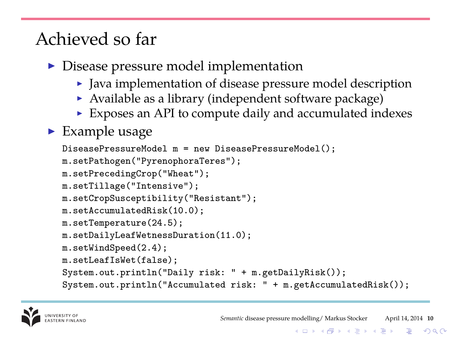- $\triangleright$  Disease pressure model implementation
	- $\blacktriangleright$  Java implementation of disease pressure model description
	- $\triangleright$  Available as a library (independent software package)
	- $\triangleright$  Exposes an API to compute daily and accumulated indexes

### $\blacktriangleright$  Example usage

```
DiseasePressureModel m = new DiseasePressureModel();
m.setPathogen("PyrenophoraTeres");
m.setPrecedingCrop("Wheat");
m.setTillage("Intensive");
m.setCropSusceptibility("Resistant");
m.setAccumulatedRisk(10.0);
m.setTemperature(24.5);
m.setDailyLeafWetnessDuration(11.0);
m.setWindSpeed(2.4);
m.setLeafIsWet(false);
System.out.println("Daily risk: " + m.getDailyRisk());
System.out.println("Accumulated risk: " + m.getAccumulatedRisk());
```
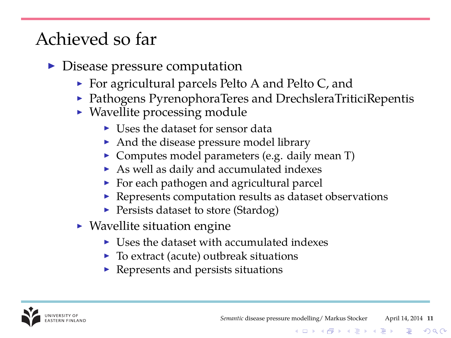- $\triangleright$  Disease pressure computation
	- $\triangleright$  For agricultural parcels Pelto A and Pelto C, and
	- $\triangleright$  Pathogens PyrenophoraTeres and DrechsleraTriticiRepentis
	- $\blacktriangleright$  Wavellite processing module
		- $\blacktriangleright$  Uses the dataset for sensor data
		- And the disease pressure model library
		- $\triangleright$  Computes model parameters (e.g. daily mean T)
		- $\triangleright$  As well as daily and accumulated indexes
		- $\triangleright$  For each pathogen and agricultural parcel
		- $\blacktriangleright$  Represents computation results as dataset observations
		- **Persists dataset to store (Stardog)**
	- $\blacktriangleright$  Wavellite situation engine
		- $\blacktriangleright$  Uses the dataset with accumulated indexes
		- $\triangleright$  To extract (acute) outbreak situations
		- $\blacktriangleright$  Represents and persists situations

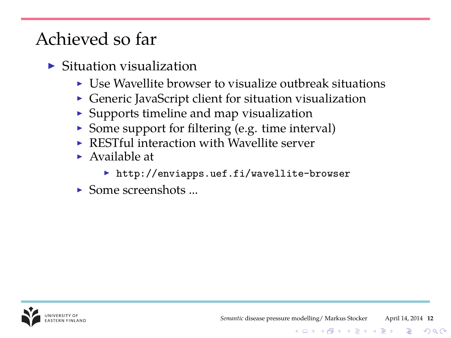- $\triangleright$  Situation visualization
	- $\blacktriangleright$  Use Wavellite browser to visualize outbreak situations
	- $\triangleright$  Generic JavaScript client for situation visualization
	- $\triangleright$  Supports timeline and map visualization
	- $\triangleright$  Some support for filtering (e.g. time interval)
	- $\triangleright$  RESTful interaction with Wavellite server
	- $\blacktriangleright$  Available at
		- $\blacktriangleright$  http://enviapps.uef.fi/wavellite-browser
	- $\blacktriangleright$  Some screenshots

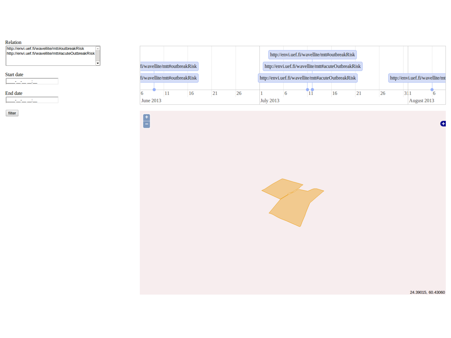### Relation

http://envi.uef.fi/wavellite/mttiloutbreakRisk http://envi.uef.fi/wavellite/mtt#acuteOutbreakRisk

ᅱ

Ĥ

### **Start date**

**Service** 

#### **End date**

ш. **Service** 







24.39015, 60.43060

G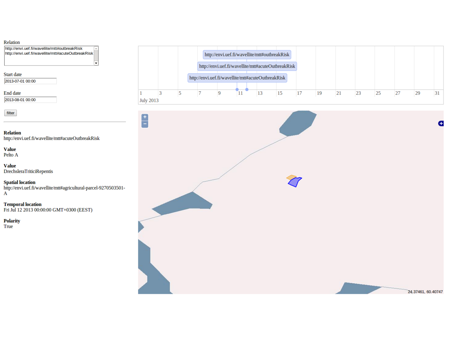### Relation

http://envi.uef.fi/wavellite/mttiloutbreakRisk http://envi.uef.fi/wavellite/mtt#acuteOuthreakRisk

ы

Start date 2013-07-01.00:00

End date 2013-08-01 00:00

filter

**Relation** http://envi.uef.fi/wavellite/mtt#acuteOutbreakRisk

Value Pelto A

Value DrechsleraTriticiRepentis

**Spatial location** http://envi.uef.fi/wavellite/mtt#agricultural-parcel-9270503501- $\overline{A}$ 

**Temporal location** Fri Jul 12 2013 00:00:00 GMT+0300 (EEST)

**Polarity** True